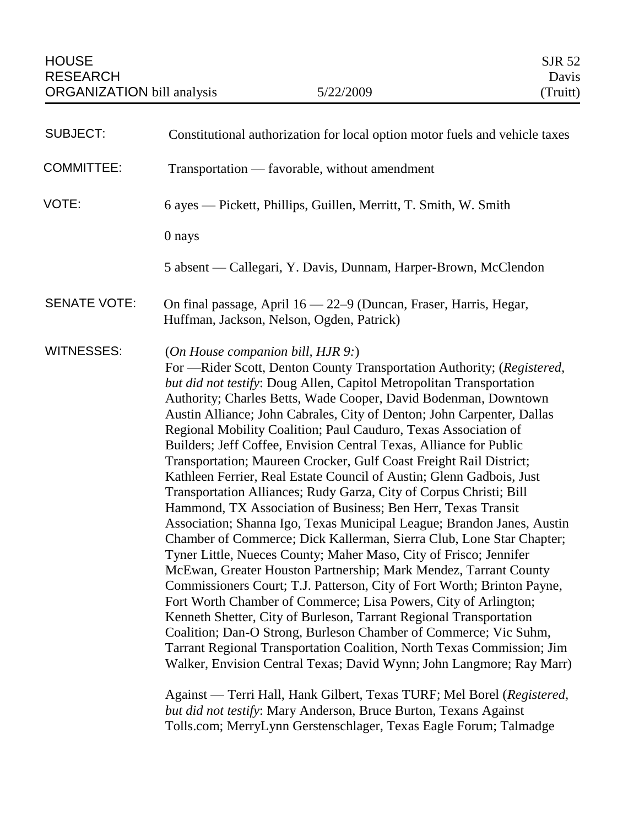| <b>SUBJECT:</b>     | Constitutional authorization for local option motor fuels and vehicle taxes                                                                                                                                                                                                                                                                                                                                                                                                                                                                                                                                                                                                                                                                                                                                                                                                                                                                                                                                                                                                                                                                                                                                                                                                                                                                                                                                                                                                                                                                                                                                                                      |
|---------------------|--------------------------------------------------------------------------------------------------------------------------------------------------------------------------------------------------------------------------------------------------------------------------------------------------------------------------------------------------------------------------------------------------------------------------------------------------------------------------------------------------------------------------------------------------------------------------------------------------------------------------------------------------------------------------------------------------------------------------------------------------------------------------------------------------------------------------------------------------------------------------------------------------------------------------------------------------------------------------------------------------------------------------------------------------------------------------------------------------------------------------------------------------------------------------------------------------------------------------------------------------------------------------------------------------------------------------------------------------------------------------------------------------------------------------------------------------------------------------------------------------------------------------------------------------------------------------------------------------------------------------------------------------|
| <b>COMMITTEE:</b>   | Transportation — favorable, without amendment                                                                                                                                                                                                                                                                                                                                                                                                                                                                                                                                                                                                                                                                                                                                                                                                                                                                                                                                                                                                                                                                                                                                                                                                                                                                                                                                                                                                                                                                                                                                                                                                    |
| VOTE:               | 6 ayes — Pickett, Phillips, Guillen, Merritt, T. Smith, W. Smith                                                                                                                                                                                                                                                                                                                                                                                                                                                                                                                                                                                                                                                                                                                                                                                                                                                                                                                                                                                                                                                                                                                                                                                                                                                                                                                                                                                                                                                                                                                                                                                 |
|                     | 0 nays                                                                                                                                                                                                                                                                                                                                                                                                                                                                                                                                                                                                                                                                                                                                                                                                                                                                                                                                                                                                                                                                                                                                                                                                                                                                                                                                                                                                                                                                                                                                                                                                                                           |
|                     | 5 absent — Callegari, Y. Davis, Dunnam, Harper-Brown, McClendon                                                                                                                                                                                                                                                                                                                                                                                                                                                                                                                                                                                                                                                                                                                                                                                                                                                                                                                                                                                                                                                                                                                                                                                                                                                                                                                                                                                                                                                                                                                                                                                  |
| <b>SENATE VOTE:</b> | On final passage, April 16 - 22-9 (Duncan, Fraser, Harris, Hegar,<br>Huffman, Jackson, Nelson, Ogden, Patrick)                                                                                                                                                                                                                                                                                                                                                                                                                                                                                                                                                                                                                                                                                                                                                                                                                                                                                                                                                                                                                                                                                                                                                                                                                                                                                                                                                                                                                                                                                                                                   |
| WITNESSES:          | (On House companion bill, HJR 9.)<br>For -Rider Scott, Denton County Transportation Authority; (Registered,<br>but did not testify: Doug Allen, Capitol Metropolitan Transportation<br>Authority; Charles Betts, Wade Cooper, David Bodenman, Downtown<br>Austin Alliance; John Cabrales, City of Denton; John Carpenter, Dallas<br>Regional Mobility Coalition; Paul Cauduro, Texas Association of<br>Builders; Jeff Coffee, Envision Central Texas, Alliance for Public<br>Transportation; Maureen Crocker, Gulf Coast Freight Rail District;<br>Kathleen Ferrier, Real Estate Council of Austin; Glenn Gadbois, Just<br>Transportation Alliances; Rudy Garza, City of Corpus Christi; Bill<br>Hammond, TX Association of Business; Ben Herr, Texas Transit<br>Association; Shanna Igo, Texas Municipal League; Brandon Janes, Austin<br>Chamber of Commerce; Dick Kallerman, Sierra Club, Lone Star Chapter;<br>Tyner Little, Nueces County; Maher Maso, City of Frisco; Jennifer<br>McEwan, Greater Houston Partnership; Mark Mendez, Tarrant County<br>Commissioners Court; T.J. Patterson, City of Fort Worth; Brinton Payne,<br>Fort Worth Chamber of Commerce; Lisa Powers, City of Arlington;<br>Kenneth Shetter, City of Burleson, Tarrant Regional Transportation<br>Coalition; Dan-O Strong, Burleson Chamber of Commerce; Vic Suhm,<br>Tarrant Regional Transportation Coalition, North Texas Commission; Jim<br>Walker, Envision Central Texas; David Wynn; John Langmore; Ray Marr)<br>Against — Terri Hall, Hank Gilbert, Texas TURF; Mel Borel (Registered,<br>but did not testify: Mary Anderson, Bruce Burton, Texans Against |

*but did not testify*: Mary Anderson, Bruce Burton, Texans Against Tolls.com; MerryLynn Gerstenschlager, Texas Eagle Forum; Talmadge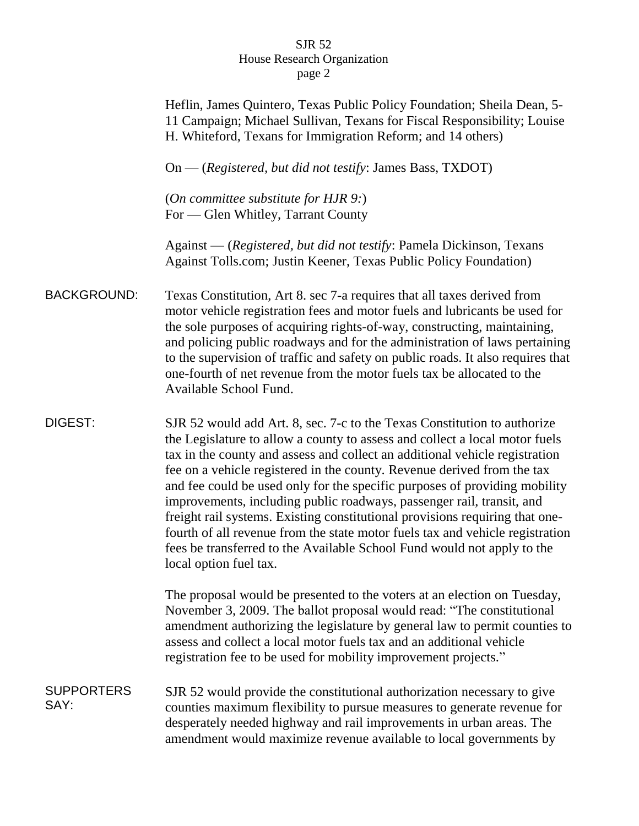|                           | Heflin, James Quintero, Texas Public Policy Foundation; Sheila Dean, 5-<br>11 Campaign; Michael Sullivan, Texans for Fiscal Responsibility; Louise<br>H. Whiteford, Texans for Immigration Reform; and 14 others)                                                                                                                                                                                                                                                                                                                                                                                                                                                                                                                              |
|---------------------------|------------------------------------------------------------------------------------------------------------------------------------------------------------------------------------------------------------------------------------------------------------------------------------------------------------------------------------------------------------------------------------------------------------------------------------------------------------------------------------------------------------------------------------------------------------------------------------------------------------------------------------------------------------------------------------------------------------------------------------------------|
|                           | On — (Registered, but did not testify: James Bass, TXDOT)                                                                                                                                                                                                                                                                                                                                                                                                                                                                                                                                                                                                                                                                                      |
|                           | (On committee substitute for HJR 9:)<br>For — Glen Whitley, Tarrant County                                                                                                                                                                                                                                                                                                                                                                                                                                                                                                                                                                                                                                                                     |
|                           | Against — (Registered, but did not testify: Pamela Dickinson, Texans<br>Against Tolls.com; Justin Keener, Texas Public Policy Foundation)                                                                                                                                                                                                                                                                                                                                                                                                                                                                                                                                                                                                      |
| <b>BACKGROUND:</b>        | Texas Constitution, Art 8. sec 7-a requires that all taxes derived from<br>motor vehicle registration fees and motor fuels and lubricants be used for<br>the sole purposes of acquiring rights-of-way, constructing, maintaining,<br>and policing public roadways and for the administration of laws pertaining<br>to the supervision of traffic and safety on public roads. It also requires that<br>one-fourth of net revenue from the motor fuels tax be allocated to the<br>Available School Fund.                                                                                                                                                                                                                                         |
| DIGEST:                   | SJR 52 would add Art. 8, sec. 7-c to the Texas Constitution to authorize<br>the Legislature to allow a county to assess and collect a local motor fuels<br>tax in the county and assess and collect an additional vehicle registration<br>fee on a vehicle registered in the county. Revenue derived from the tax<br>and fee could be used only for the specific purposes of providing mobility<br>improvements, including public roadways, passenger rail, transit, and<br>freight rail systems. Existing constitutional provisions requiring that one-<br>fourth of all revenue from the state motor fuels tax and vehicle registration<br>fees be transferred to the Available School Fund would not apply to the<br>local option fuel tax. |
|                           | The proposal would be presented to the voters at an election on Tuesday,<br>November 3, 2009. The ballot proposal would read: "The constitutional<br>amendment authorizing the legislature by general law to permit counties to<br>assess and collect a local motor fuels tax and an additional vehicle<br>registration fee to be used for mobility improvement projects."                                                                                                                                                                                                                                                                                                                                                                     |
| <b>SUPPORTERS</b><br>SAY: | SJR 52 would provide the constitutional authorization necessary to give<br>counties maximum flexibility to pursue measures to generate revenue for<br>desperately needed highway and rail improvements in urban areas. The<br>amendment would maximize revenue available to local governments by                                                                                                                                                                                                                                                                                                                                                                                                                                               |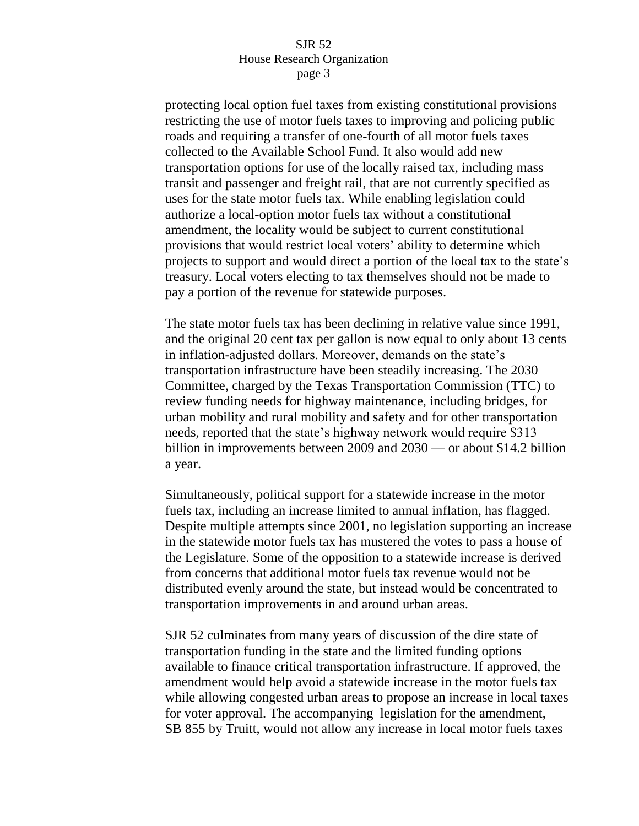protecting local option fuel taxes from existing constitutional provisions restricting the use of motor fuels taxes to improving and policing public roads and requiring a transfer of one-fourth of all motor fuels taxes collected to the Available School Fund. It also would add new transportation options for use of the locally raised tax, including mass transit and passenger and freight rail, that are not currently specified as uses for the state motor fuels tax. While enabling legislation could authorize a local-option motor fuels tax without a constitutional amendment, the locality would be subject to current constitutional provisions that would restrict local voters' ability to determine which projects to support and would direct a portion of the local tax to the state's treasury. Local voters electing to tax themselves should not be made to pay a portion of the revenue for statewide purposes.

The state motor fuels tax has been declining in relative value since 1991, and the original 20 cent tax per gallon is now equal to only about 13 cents in inflation-adjusted dollars. Moreover, demands on the state's transportation infrastructure have been steadily increasing. The 2030 Committee, charged by the Texas Transportation Commission (TTC) to review funding needs for highway maintenance, including bridges, for urban mobility and rural mobility and safety and for other transportation needs, reported that the state's highway network would require \$313 billion in improvements between 2009 and 2030 — or about \$14.2 billion a year.

Simultaneously, political support for a statewide increase in the motor fuels tax, including an increase limited to annual inflation, has flagged. Despite multiple attempts since 2001, no legislation supporting an increase in the statewide motor fuels tax has mustered the votes to pass a house of the Legislature. Some of the opposition to a statewide increase is derived from concerns that additional motor fuels tax revenue would not be distributed evenly around the state, but instead would be concentrated to transportation improvements in and around urban areas.

SJR 52 culminates from many years of discussion of the dire state of transportation funding in the state and the limited funding options available to finance critical transportation infrastructure. If approved, the amendment would help avoid a statewide increase in the motor fuels tax while allowing congested urban areas to propose an increase in local taxes for voter approval. The accompanying legislation for the amendment, SB 855 by Truitt, would not allow any increase in local motor fuels taxes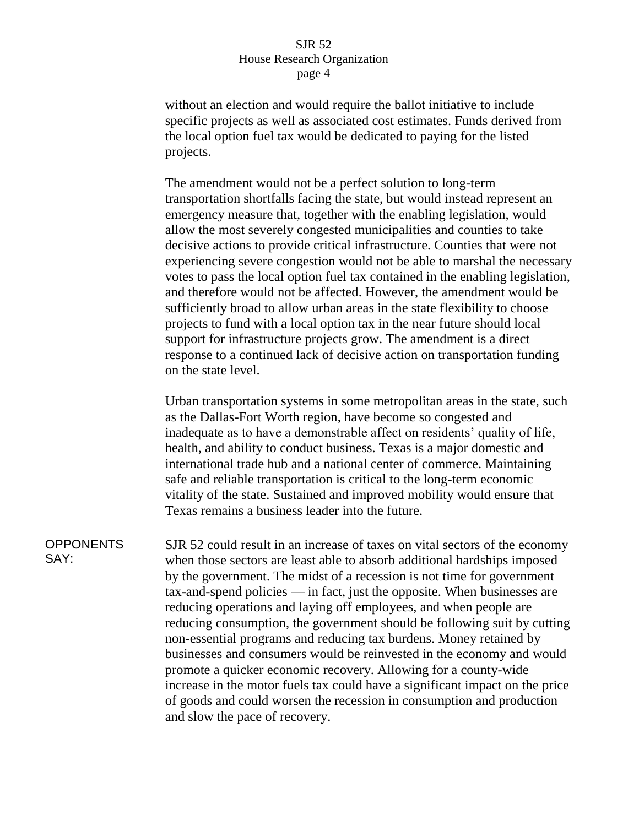without an election and would require the ballot initiative to include specific projects as well as associated cost estimates. Funds derived from the local option fuel tax would be dedicated to paying for the listed projects.

The amendment would not be a perfect solution to long-term transportation shortfalls facing the state, but would instead represent an emergency measure that, together with the enabling legislation, would allow the most severely congested municipalities and counties to take decisive actions to provide critical infrastructure. Counties that were not experiencing severe congestion would not be able to marshal the necessary votes to pass the local option fuel tax contained in the enabling legislation, and therefore would not be affected. However, the amendment would be sufficiently broad to allow urban areas in the state flexibility to choose projects to fund with a local option tax in the near future should local support for infrastructure projects grow. The amendment is a direct response to a continued lack of decisive action on transportation funding on the state level.

Urban transportation systems in some metropolitan areas in the state, such as the Dallas-Fort Worth region, have become so congested and inadequate as to have a demonstrable affect on residents' quality of life, health, and ability to conduct business. Texas is a major domestic and international trade hub and a national center of commerce. Maintaining safe and reliable transportation is critical to the long-term economic vitality of the state. Sustained and improved mobility would ensure that Texas remains a business leader into the future.

**OPPONENTS** SAY:

SJR 52 could result in an increase of taxes on vital sectors of the economy when those sectors are least able to absorb additional hardships imposed by the government. The midst of a recession is not time for government tax-and-spend policies — in fact, just the opposite. When businesses are reducing operations and laying off employees, and when people are reducing consumption, the government should be following suit by cutting non-essential programs and reducing tax burdens. Money retained by businesses and consumers would be reinvested in the economy and would promote a quicker economic recovery. Allowing for a county-wide increase in the motor fuels tax could have a significant impact on the price of goods and could worsen the recession in consumption and production and slow the pace of recovery.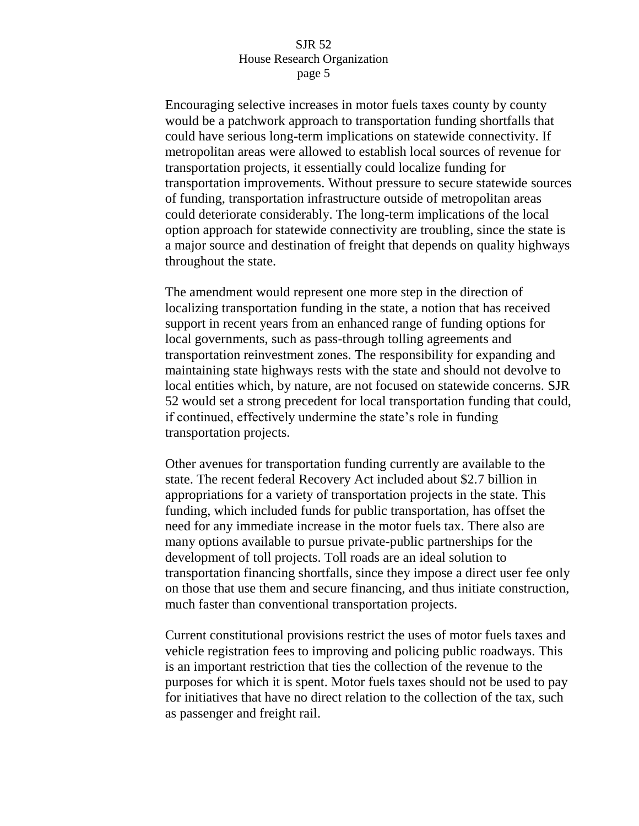Encouraging selective increases in motor fuels taxes county by county would be a patchwork approach to transportation funding shortfalls that could have serious long-term implications on statewide connectivity. If metropolitan areas were allowed to establish local sources of revenue for transportation projects, it essentially could localize funding for transportation improvements. Without pressure to secure statewide sources of funding, transportation infrastructure outside of metropolitan areas could deteriorate considerably. The long-term implications of the local option approach for statewide connectivity are troubling, since the state is a major source and destination of freight that depends on quality highways throughout the state.

The amendment would represent one more step in the direction of localizing transportation funding in the state, a notion that has received support in recent years from an enhanced range of funding options for local governments, such as pass-through tolling agreements and transportation reinvestment zones. The responsibility for expanding and maintaining state highways rests with the state and should not devolve to local entities which, by nature, are not focused on statewide concerns. SJR 52 would set a strong precedent for local transportation funding that could, if continued, effectively undermine the state's role in funding transportation projects.

Other avenues for transportation funding currently are available to the state. The recent federal Recovery Act included about \$2.7 billion in appropriations for a variety of transportation projects in the state. This funding, which included funds for public transportation, has offset the need for any immediate increase in the motor fuels tax. There also are many options available to pursue private-public partnerships for the development of toll projects. Toll roads are an ideal solution to transportation financing shortfalls, since they impose a direct user fee only on those that use them and secure financing, and thus initiate construction, much faster than conventional transportation projects.

Current constitutional provisions restrict the uses of motor fuels taxes and vehicle registration fees to improving and policing public roadways. This is an important restriction that ties the collection of the revenue to the purposes for which it is spent. Motor fuels taxes should not be used to pay for initiatives that have no direct relation to the collection of the tax, such as passenger and freight rail.